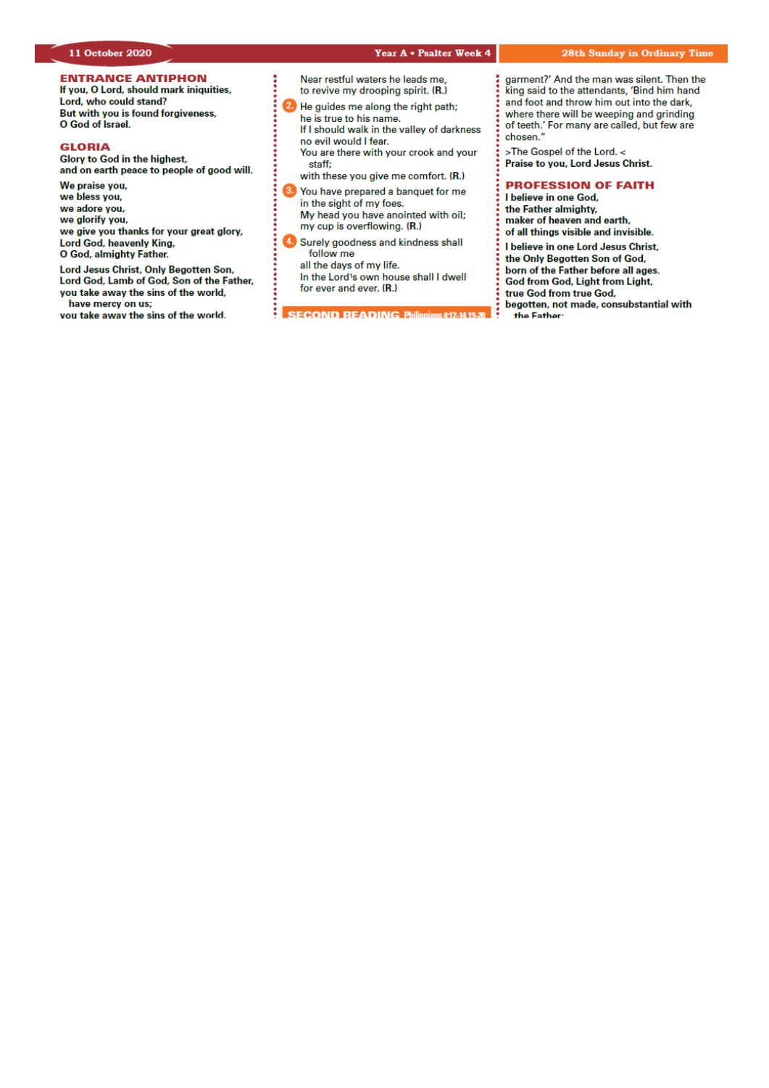# *Our Lady & St Edmund of Abingdon 1 Radley Rd, Abingdon on Thames, Oxon, OX14 3PL*

We are a **LiveSimply** parish aiming to live Simply, Sustainably and in Solidarity with the Poor

| Parish Priest:              | Fr. Jamie McGrath                                               | Tel: 01235 520375 |  |
|-----------------------------|-----------------------------------------------------------------|-------------------|--|
| Parish Secretary:           | Lisa Paterson                                                   | Tel: 01235 520375 |  |
| Office Hours:               | 10.30am-12.30pm Tuesday to Friday                               |                   |  |
| Office Email:               | abingdon@portsmouthdiocese.org.uk                               |                   |  |
| We live stream all services |                                                                 |                   |  |
| Safeguarding Team:          | Tel. 07572 935 230                                              |                   |  |
| Visits at JR Hospital:      | Fr Pius 01865 221732                                            |                   |  |
| Visits and Help:            | Society of Vincent de Paul Group, contact via Parish Office     |                   |  |
| Parish Website:             | www.ourladyandstedmund.org.uk                                   |                   |  |
| Primary School:             | St. Edmund's School, Radley Road, Abingdon, OX14 3PP Tel 521558 |                   |  |
|                             |                                                                 |                   |  |



**CONFESSIONS:** For now, this is by appointment only. Please contact the parish office to make a booking.

#### **PRIVATE PRAYER**

The church will be open for **private prayer only**, between **12.00pm and 1.00pm on Tuesdays** and **Fridays**.

#### **MASS BOOKINGS**

Please remember that *bookings for the whole week beginning Sunday 18th Oct. to Saturday 24th Oct.* should be made on *Monday 12th October*. Do please *try and give us several options for days/times* when you could come and let us know *how many people you are booking for*. We will do our best to accommodate your request. If you would like to attend more than one Mass in the week, please make this clear when you book.

- o Those people *without* Internet access can phone **07395 946827** between 10am and 11am **each Monday** to give the day of the week when they are able to attend Mass. *There is no recorded answering message system.* Please do not use the office phone number or phone outside of this time period.
- o Those *with* Internet access are asked **not** to use the phone booking system, but instead to email us at: *contact@ourladyandstedmund.org.uk* giving us 2 to 3 possible days of the week when you can attend Mass. Please do this **each Monday**. You will then receive a reply with the day allocated to you.
- o In all cases, you are asked to state the number in your family who will be attending Mass. This is essential for our planning and to maintain safety distances.
- o Be aware that singing is not yet permitted under the guidelines. Also, there will be no collection basket passed around, but you may leave donations as you leave the Church.
- o Please note that there are currently only **two** Sunday Masses – one at **10.15am and the other at 6.30pm**.

Thank you all very much for your patience and help.

Roman Catholic Diocese of Portsmouth Reg. Charity No 246871 www.portsmouthdiocese.org.uk

#### **28th week of Ordinary Time** *In Church for those who have booked, and also live streamed*

#### **Sunday 11 October**

| $10.15$ am         | Mass        | (Sr Elizabeth Burgess intentions) |
|--------------------|-------------|-----------------------------------|
| 2.00 <sub>pm</sub> | Polish Mass |                                   |
| 6.30 <sub>pm</sub> | Mass        | (In Thanksgiving: Anniversary of  |
|                    |             | Roy Arends & Alex Contreras)      |

#### **Monday 12 October (Parishes in Pastoral Areas of Portsmouth, Solent, Havant & Isle of Wight)**

9am Mass (Paul Cahill, RIP)

#### **Tuesday 13 October**

NO Mass See: *www.ourladyandstedmund.org.uk/englishmartyrs-vale-of-white-horse* for other masses

#### **Wednesday 14 October**

7pm Mass (Margaret Mythen, RIP)

**Thursday 15 October (St Teresa of Avila)** 9.30am Mass (Special intentions)

#### **Friday 16 October**

7pm Mass (Teresa Lorenzo intentions)

**Saturday 17 October (St Ignatius of Antioch)** 12pm Mass (Frank O'Toole, RIP)

# **HOW TO BOOK FOR MASS**

#### **No Internet Access?**

Phone 07395 946827 EACH MONDAY between 10am and 11am ONLY to book a place for the FOLLOWING week

## **Have Internet Access?**

**DON'T phone. Instead, email:** contact@ourladyandstedmund.org.uk **EACH MONDAY, to book a place for the FOLLOWING week**